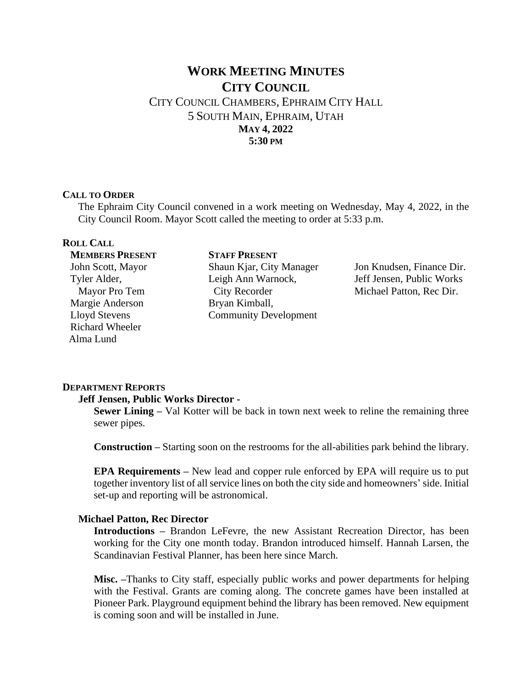# **WORK MEETING MINUTES CITY COUNCIL**

CITY COUNCIL CHAMBERS, EPHRAIM CITY HALL 5 SOUTH MAIN, EPHRAIM, UTAH **MAY 4, 2022 5:30 PM**

#### **CALL TO ORDER**

The Ephraim City Council convened in a work meeting on Wednesday, May 4, 2022, in the City Council Room. Mayor Scott called the meeting to order at 5:33 p.m.

### **ROLL CALL**

**MEMBERS PRESENT** John Scott, Mayor Tyler Alder, Mayor Pro Tem Margie Anderson Lloyd Stevens Richard Wheeler Alma Lund

### **STAFF PRESENT**  Shaun Kjar, City Manager Leigh Ann Warnock, City Recorder Bryan Kimball, Community Development

Jon Knudsen, Finance Dir. Jeff Jensen, Public Works Michael Patton, Rec Dir.

## **DEPARTMENT REPORTS**

### **Jeff Jensen, Public Works Director -**

**Sewer Lining** – Val Kotter will be back in town next week to reline the remaining three sewer pipes.

**Construction –** Starting soon on the restrooms for the all-abilities park behind the library.

**EPA Requirements –** New lead and copper rule enforced by EPA will require us to put together inventory list of all service lines on both the city side and homeowners' side. Initial set-up and reporting will be astronomical.

### **Michael Patton, Rec Director**

**Introductions –** Brandon LeFevre, the new Assistant Recreation Director, has been working for the City one month today. Brandon introduced himself. Hannah Larsen, the Scandinavian Festival Planner, has been here since March.

**Misc. –**Thanks to City staff, especially public works and power departments for helping with the Festival. Grants are coming along. The concrete games have been installed at Pioneer Park. Playground equipment behind the library has been removed. New equipment is coming soon and will be installed in June.